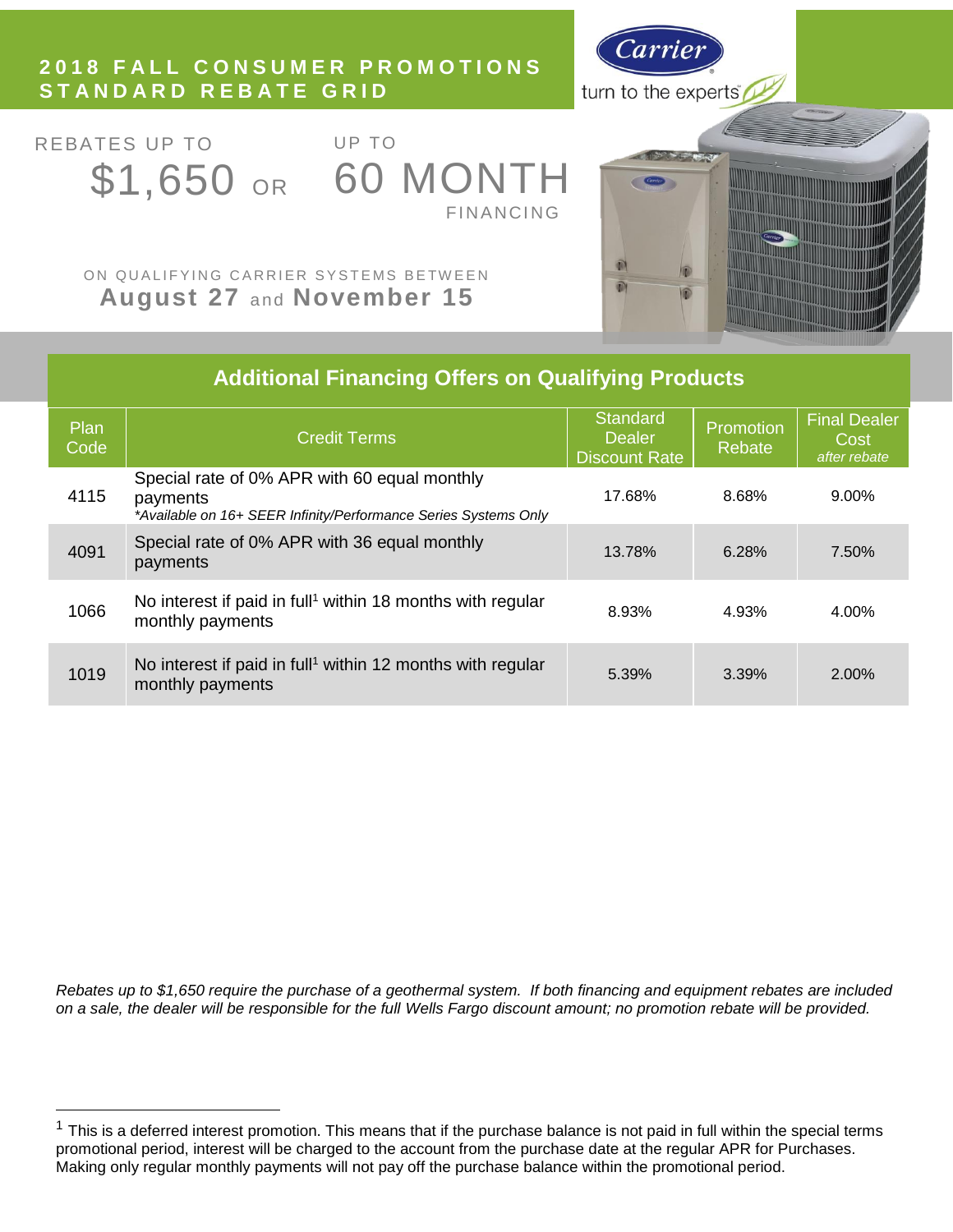# **2018 F A L L C O N S U M E R P R O M O T I O N S S T A N D A R D R E B A T E G R I D**



REBATES UP TO

 $\overline{a}$ 

UP TO \$1,650 OR 60 MONTH **FINANCING** 



ON QUALIFYING CARRIER SYSTEMS BETWEEN **August 27 and November 15** 

| <b>Additional Financing Offers on Qualifying Products</b> |                                                                                                                             |                                                          |                     |                                             |  |  |
|-----------------------------------------------------------|-----------------------------------------------------------------------------------------------------------------------------|----------------------------------------------------------|---------------------|---------------------------------------------|--|--|
| Plan<br>Code                                              | <b>Credit Terms</b>                                                                                                         | <b>Standard</b><br><b>Dealer</b><br><b>Discount Rate</b> | Promotion<br>Rebate | <b>Final Dealer</b><br>Cost<br>after rebate |  |  |
| 4115                                                      | Special rate of 0% APR with 60 equal monthly<br>payments<br>*Available on 16+ SEER Infinity/Performance Series Systems Only | 17.68%                                                   | 8.68%               | $9.00\%$                                    |  |  |
| 4091                                                      | Special rate of 0% APR with 36 equal monthly<br>payments                                                                    | 13.78%                                                   | 6.28%               | 7.50%                                       |  |  |
| 1066                                                      | No interest if paid in full <sup>1</sup> within 18 months with regular<br>monthly payments                                  | 8.93%                                                    | 4.93%               | 4.00%                                       |  |  |
| 1019                                                      | No interest if paid in full <sup>1</sup> within 12 months with regular<br>monthly payments                                  | 5.39%                                                    | 3.39%               | 2.00%                                       |  |  |

*Rebates up to \$1,650 require the purchase of a geothermal system. If both financing and equipment rebates are included on a sale, the dealer will be responsible for the full Wells Fargo discount amount; no promotion rebate will be provided.*

 $1$  This is a deferred interest promotion. This means that if the purchase balance is not paid in full within the special terms promotional period, interest will be charged to the account from the purchase date at the regular APR for Purchases. Making only regular monthly payments will not pay off the purchase balance within the promotional period.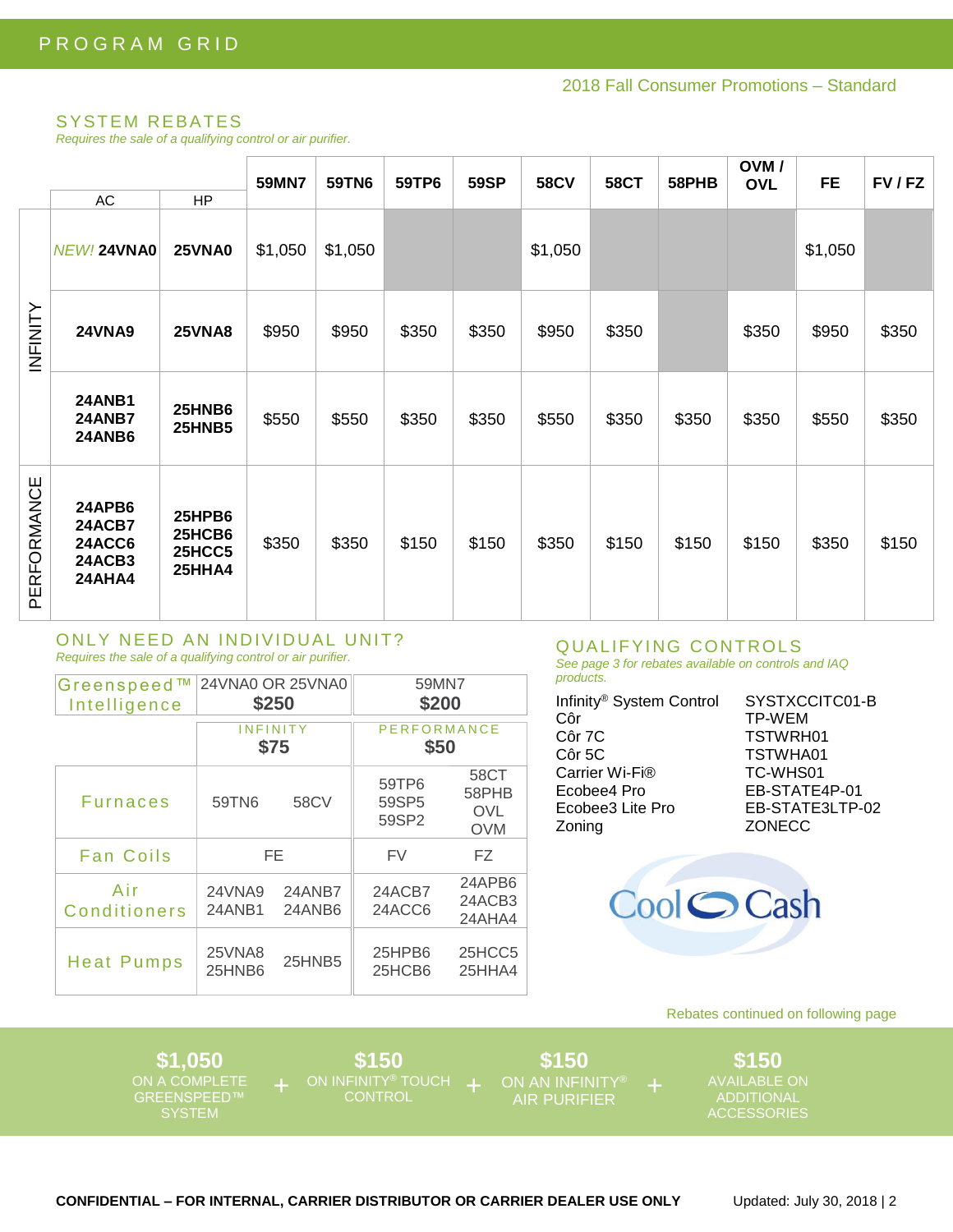### **SYSTEM REBATES**

Requires the sale of a qualifying control or air purifier.

|                 | AC                                                                         | HP                                          | 59MN7   | 59TN6   | 59TP6 | <b>59SP</b> | <b>58CV</b> | <b>58CT</b> | 58PHB | OVM/<br><b>OVL</b> | <b>FE</b> | FV/FZ |
|-----------------|----------------------------------------------------------------------------|---------------------------------------------|---------|---------|-------|-------------|-------------|-------------|-------|--------------------|-----------|-------|
| <b>INFINITY</b> | NEW! 24VNA0                                                                | <b>25VNA0</b>                               | \$1,050 | \$1,050 |       |             | \$1,050     |             |       |                    | \$1,050   |       |
|                 | <b>24VNA9</b>                                                              | <b>25VNA8</b>                               | \$950   | \$950   | \$350 | \$350       | \$950       | \$350       |       | \$350              | \$950     | \$350 |
|                 | <b>24ANB1</b><br><b>24ANB7</b><br><b>24ANB6</b>                            | <b>25HNB6</b><br><b>25HNB5</b>              | \$550   | \$550   | \$350 | \$350       | \$550       | \$350       | \$350 | \$350              | \$550     | \$350 |
| PERFORMANCE     | <b>24APB6</b><br><b>24ACB7</b><br><b>24ACC6</b><br>24ACB3<br><b>24AHA4</b> | 25HPB6<br>25HCB6<br><b>25HCC5</b><br>25HHA4 | \$350   | \$350   | \$150 | \$150       | \$350       | \$150       | \$150 | \$150              | \$350     | \$150 |

#### ONLY NEED AN INDIVIDUAL UNIT? Requires the sale of a qualifying control or air purifier.

| Greenspeed™<br>Intelligence | 24VNA0 OR 25VNA0<br>\$250 |                  | 59MN7<br>\$200             |                                           |  |
|-----------------------------|---------------------------|------------------|----------------------------|-------------------------------------------|--|
|                             | INFINITY<br>\$75          |                  | <b>PERFORMANCE</b><br>\$50 |                                           |  |
| <b>Furnaces</b>             | 59TN6                     | 58CV             | 59TP6<br>59SP5<br>59SP2    | 58CT<br>58PHB<br><b>OVL</b><br><b>OVM</b> |  |
| <b>Fan Coils</b>            | FE                        |                  | FV                         | FZ.                                       |  |
| Air<br><b>Conditioners</b>  | 24VNA9<br>24ANB1          | 24ANB7<br>24ANB6 | 24ACB7<br>24ACC6           | 24APB6<br>24ACB3<br>24AHA4                |  |
| <b>Heat Pumps</b>           | 25VNA8<br>25HNB6          | 25HNB5           | 25HPB6<br>25HCB6           | 25HCC5<br>25HHA4                          |  |

#### QUALIFYING CONTROLS See page 3 for rebates available on controls and IAQ

| ٠<br>×.             |         |
|---------------------|---------|
| .<br>M.<br>۰.<br>M. | .<br>۰. |
|                     |         |

| Infinity <sup>®</sup> System Control<br>Côr<br>Côr 7C<br>Côr 5C<br>Carrier Wi-Fi®<br>Ecobee4 Pro | SYSTXCCITC01-B<br><b>TP-WEM</b><br>TSTWRH01<br>TSTWHA01<br>TC-WHS01<br>EB-STATE4P-01 |
|--------------------------------------------------------------------------------------------------|--------------------------------------------------------------------------------------|
| Ecobee3 Lite Pro                                                                                 | EB-STATE3LTP-02                                                                      |
| Zoning                                                                                           | <b>ZONECC</b>                                                                        |



### Rebates continued on following page

\$1,050 ON A COMPLETE<br>GREENSPEED™ **SYSTEM** 

\$150 ON INFINITY<sup>®</sup> TOUCH +

\$150 **AIR PURIFIER** 

\$150 AVAILABLE ON **ADDITIONAL ACCESSORIES**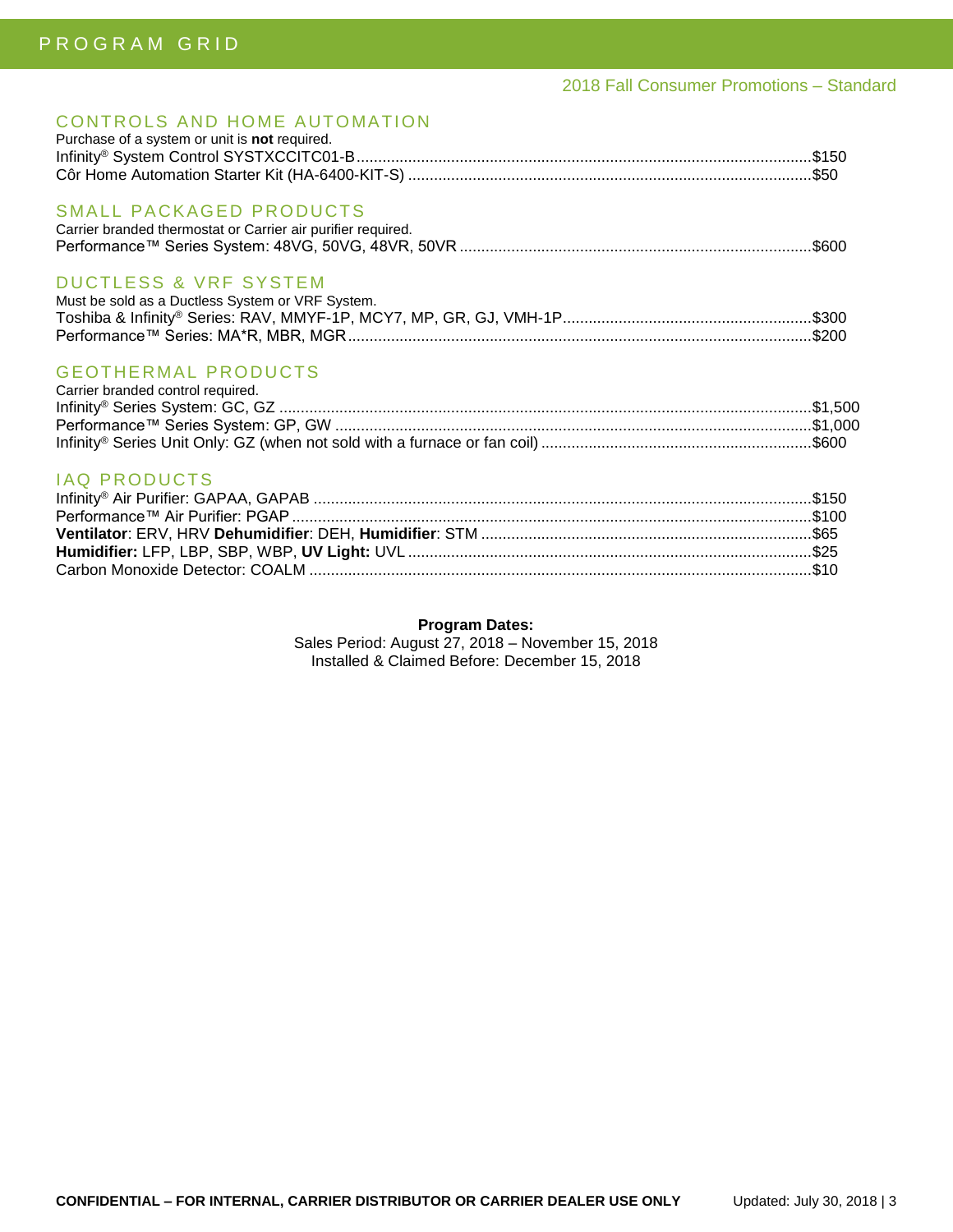# 2018 Fall Consumer Promotions – Standard

# CONTROLS AND HOME AUTOMATION

| Purchase of a system or unit is not required.                                           |  |
|-----------------------------------------------------------------------------------------|--|
|                                                                                         |  |
| SMALL PACKAGED PRODUCTS<br>Carrier branded thermostat or Carrier air purifier required. |  |
|                                                                                         |  |

# DUCTLESS & VRF SYSTEM

| Must be sold as a Ductless System or VRF System. |  |
|--------------------------------------------------|--|
|                                                  |  |
|                                                  |  |

# **GEOTHERMAL PRODUCTS**

| Carrier branded control required. |  |
|-----------------------------------|--|
|                                   |  |
|                                   |  |
|                                   |  |

# IAQ PRODUCTS

### **Program Dates:**

Sales Period: August 27, 2018 – November 15, 2018 Installed & Claimed Before: December 15, 2018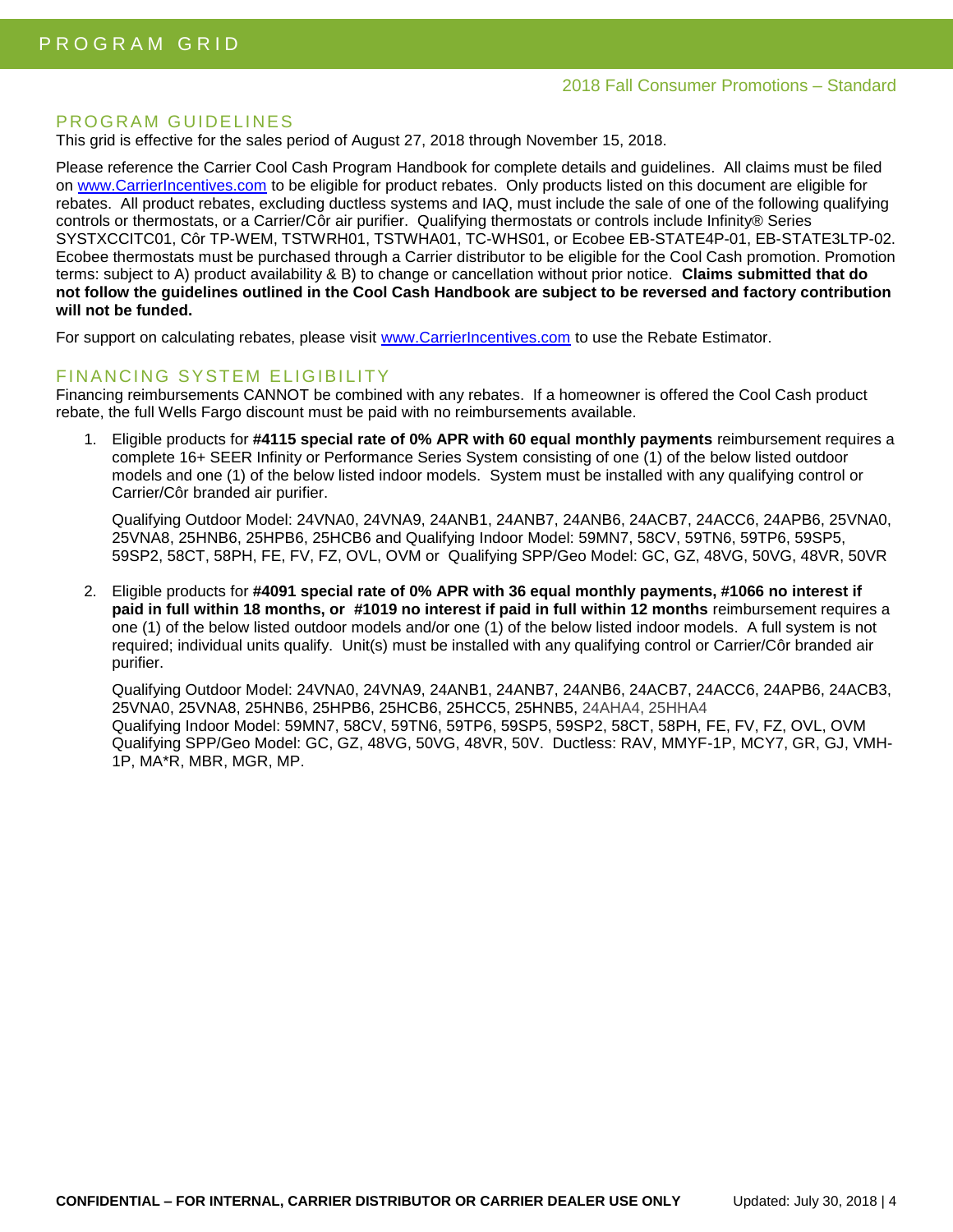### PROGRAM GUIDELINES

This grid is effective for the sales period of August 27, 2018 through November 15, 2018.

Please reference the Carrier Cool Cash Program Handbook for complete details and guidelines. All claims must be filed on [www.CarrierIncentives.com](http://www.carrierincentives.com/) to be eligible for product rebates. Only products listed on this document are eligible for rebates. All product rebates, excluding ductless systems and IAQ, must include the sale of one of the following qualifying controls or thermostats, or a Carrier/Côr air purifier. Qualifying thermostats or controls include Infinity® Series SYSTXCCITC01, Côr TP-WEM, TSTWRH01, TSTWHA01, TC-WHS01, or Ecobee EB-STATE4P-01, EB-STATE3LTP-02. Ecobee thermostats must be purchased through a Carrier distributor to be eligible for the Cool Cash promotion. Promotion terms: subject to A) product availability & B) to change or cancellation without prior notice. **Claims submitted that do not follow the guidelines outlined in the Cool Cash Handbook are subject to be reversed and factory contribution will not be funded.**

For support on calculating rebates, please visit [www.CarrierIncentives.com](http://www.carrierincentives.com/) to use the Rebate Estimator.

# FINANCING SYSTEM ELIGIBILITY

Financing reimbursements CANNOT be combined with any rebates. If a homeowner is offered the Cool Cash product rebate, the full Wells Fargo discount must be paid with no reimbursements available.

1. Eligible products for **#4115 special rate of 0% APR with 60 equal monthly payments** reimbursement requires a complete 16+ SEER Infinity or Performance Series System consisting of one (1) of the below listed outdoor models and one (1) of the below listed indoor models. System must be installed with any qualifying control or Carrier/Côr branded air purifier.

Qualifying Outdoor Model: 24VNA0, 24VNA9, 24ANB1, 24ANB7, 24ANB6, 24ACB7, 24ACC6, 24APB6, 25VNA0, 25VNA8, 25HNB6, 25HPB6, 25HCB6 and Qualifying Indoor Model: 59MN7, 58CV, 59TN6, 59TP6, 59SP5, 59SP2, 58CT, 58PH, FE, FV, FZ, OVL, OVM or Qualifying SPP/Geo Model: GC, GZ, 48VG, 50VG, 48VR, 50VR

2. Eligible products for **#4091 special rate of 0% APR with 36 equal monthly payments, #1066 no interest if paid in full within 18 months, or #1019 no interest if paid in full within 12 months** reimbursement requires a one (1) of the below listed outdoor models and/or one (1) of the below listed indoor models. A full system is not required; individual units qualify. Unit(s) must be installed with any qualifying control or Carrier/Côr branded air purifier.

Qualifying Outdoor Model: 24VNA0, 24VNA9, 24ANB1, 24ANB7, 24ANB6, 24ACB7, 24ACC6, 24APB6, 24ACB3, 25VNA0, 25VNA8, 25HNB6, 25HPB6, 25HCB6, 25HCC5, 25HNB5, 24AHA4, 25HHA4 Qualifying Indoor Model: 59MN7, 58CV, 59TN6, 59TP6, 59SP5, 59SP2, 58CT, 58PH, FE, FV, FZ, OVL, OVM Qualifying SPP/Geo Model: GC, GZ, 48VG, 50VG, 48VR, 50V. Ductless: RAV, MMYF-1P, MCY7, GR, GJ, VMH-1P, MA\*R, MBR, MGR, MP.